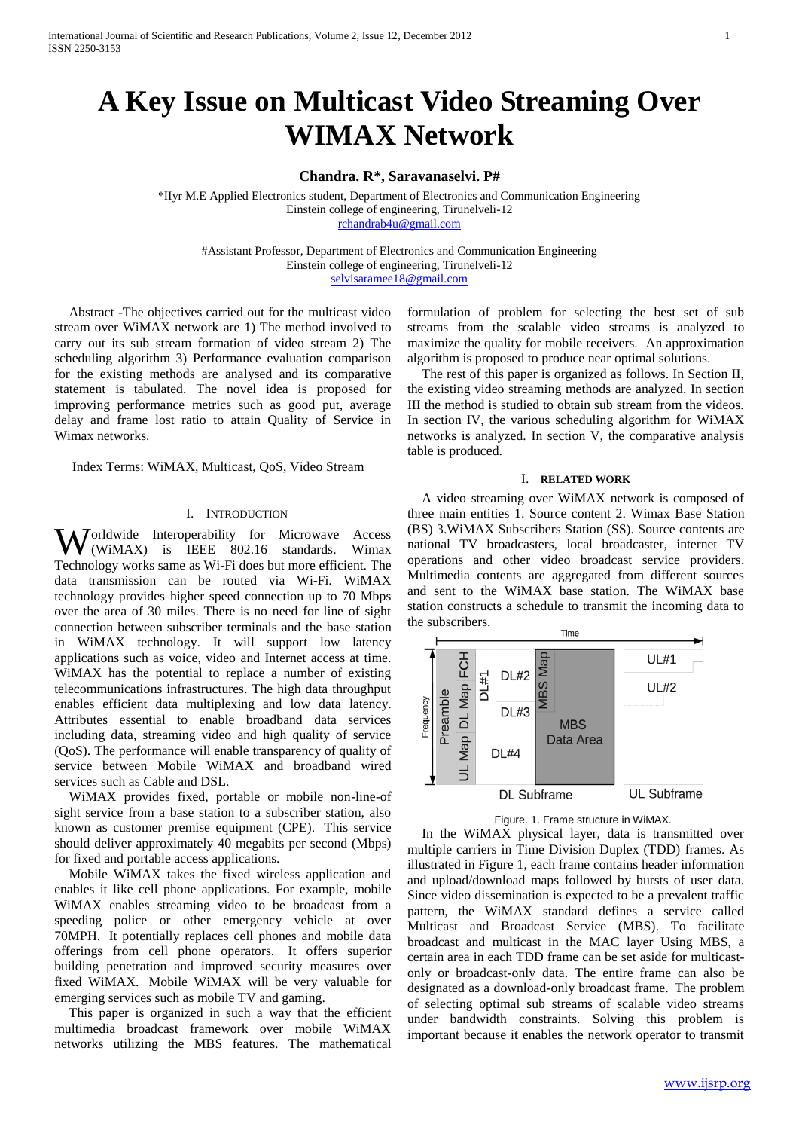# **A Key Issue on Multicast Video Streaming Over WIMAX Network**

### **Chandra. R\*, Saravanaselvi. P#**

\*IIyr M.E Applied Electronics student, Department of Electronics and Communication Engineering Einstein college of engineering, Tirunelveli-12 [rchandrab4u@gmail.com](mailto:rchandrab4u@gmail.com)

#Assistant Professor, Department of Electronics and Communication Engineering Einstein college of engineering, Tirunelveli-12 [selvisaramee18@gmail.com](mailto:selvisaramee18@gmail.com)

Abstract -The objectives carried out for the multicast video stream over WiMAX network are 1) The method involved to carry out its sub stream formation of video stream 2) The scheduling algorithm 3) Performance evaluation comparison for the existing methods are analysed and its comparative statement is tabulated. The novel idea is proposed for improving performance metrics such as good put, average delay and frame lost ratio to attain Quality of Service in Wimax networks.

Index Terms: WiMAX, Multicast, QoS, Video Stream

#### I. INTRODUCTION

**W**orldwide Interoperability for Microwave Access<br>
W(WiMAX) is IEEE 802.16 standards. Wimax (WiMAX) is [IEEE 802.16 standards.](http://freewimaxinfo.com/wimax-standards.html) Wimax Technology works same as Wi-Fi does but more efficient. The data transmission can be routed via Wi-Fi. [WiMAX](http://freewimaxinfo.com/wimax-technology.html)  [technology](http://freewimaxinfo.com/wimax-technology.html) provides higher speed connection up to 70 Mbps over the area of 30 miles. There is no need for line of sight connection between subscriber terminals and the base station in WiMAX technology. It will support low latency applications such as voice, video and Internet access at time. WiMAX has the potential to replace a number of existing telecommunications infrastructures. The high data throughput enables efficient data multiplexing and low data latency. Attributes essential to enable broadband data services including data, streaming video and high quality of service (QoS). The performance will enable transparency of quality of service between Mobile WiMAX and broadband wired services such as Cable and DSL.

WiMAX provides fixed, portable or mobile non-line-of sight service from a base station to a subscriber station, also known as customer premise equipment (CPE). This service should deliver approximately 40 megabits per second (Mbps) for fixed and portable access applications.

Mobile WiMAX takes the fixed wireless application and enables it like cell phone applications. For example, mobile WiMAX enables streaming video to be broadcast from a speeding police or other emergency vehicle at over 70MPH. It potentially replaces cell phones and mobile data offerings from cell phone operators. It offers superior building penetration and improved security measures over fixed WiMAX. Mobile WiMAX will be very valuable for emerging services such as mobile TV and gaming.

This paper is organized in such a way that the efficient multimedia broadcast framework over mobile WiMAX networks utilizing the MBS features. The mathematical

formulation of problem for selecting the best set of sub streams from the scalable video streams is analyzed to maximize the quality for mobile receivers. An approximation algorithm is proposed to produce near optimal solutions.

The rest of this paper is organized as follows. In Section II, the existing video streaming methods are analyzed. In section III the method is studied to obtain sub stream from the videos. In section IV, the various scheduling algorithm for WiMAX networks is analyzed. In section V, the comparative analysis table is produced.

#### I. **RELATED WORK**

A video streaming over WiMAX network is composed of three main entities 1. Source content 2. Wimax Base Station (BS) 3.WiMAX Subscribers Station (SS). Source contents are national TV broadcasters, local broadcaster, internet TV operations and other video broadcast service providers. Multimedia contents are aggregated from different sources and sent to the WiMAX base station. The WiMAX base station constructs a schedule to transmit the incoming data to the subscribers.



Figure. 1. Frame structure in WiMAX.

In the WiMAX physical layer, data is transmitted over multiple carriers in Time Division Duplex (TDD) frames. As illustrated in Figure 1, each frame contains header information and upload/download maps followed by bursts of user data. Since video dissemination is expected to be a prevalent traffic pattern, the WiMAX standard defines a service called Multicast and Broadcast Service (MBS). To facilitate broadcast and multicast in the MAC layer Using MBS, a certain area in each TDD frame can be set aside for multicastonly or broadcast-only data. The entire frame can also be designated as a download-only broadcast frame. The problem of selecting optimal sub streams of scalable video streams under bandwidth constraints. Solving this problem is important because it enables the network operator to transmit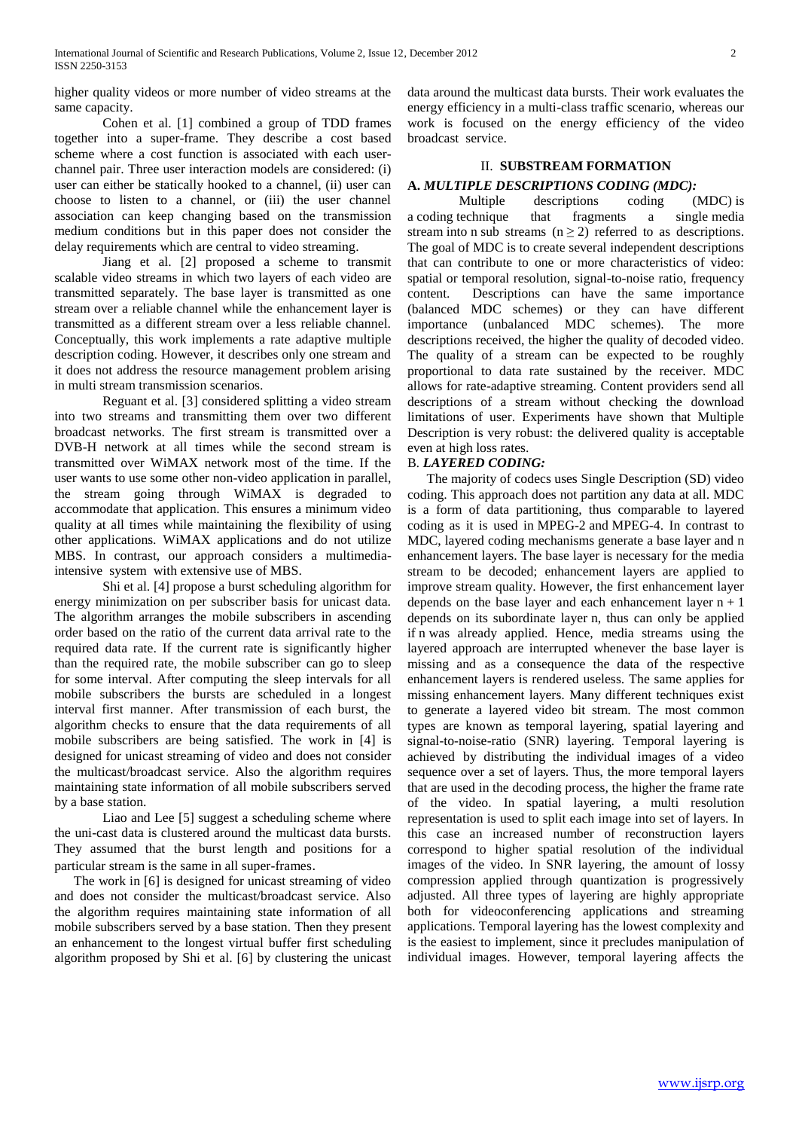higher quality videos or more number of video streams at the same capacity.

Cohen et al. [1] combined a group of TDD frames together into a super-frame. They describe a cost based scheme where a cost function is associated with each userchannel pair. Three user interaction models are considered: (i) user can either be statically hooked to a channel, (ii) user can choose to listen to a channel, or (iii) the user channel association can keep changing based on the transmission medium conditions but in this paper does not consider the delay requirements which are central to video streaming.

Jiang et al. [2] proposed a scheme to transmit scalable video streams in which two layers of each video are transmitted separately. The base layer is transmitted as one stream over a reliable channel while the enhancement layer is transmitted as a different stream over a less reliable channel. Conceptually, this work implements a rate adaptive multiple description coding. However, it describes only one stream and it does not address the resource management problem arising in multi stream transmission scenarios.

Reguant et al. [3] considered splitting a video stream into two streams and transmitting them over two different broadcast networks. The first stream is transmitted over a DVB-H network at all times while the second stream is transmitted over WiMAX network most of the time. If the user wants to use some other non-video application in parallel, the stream going through WiMAX is degraded to accommodate that application. This ensures a minimum video quality at all times while maintaining the flexibility of using other applications. WiMAX applications and do not utilize MBS. In contrast, our approach considers a multimediaintensive system with extensive use of MBS.

Shi et al. [4] propose a burst scheduling algorithm for energy minimization on per subscriber basis for unicast data. The algorithm arranges the mobile subscribers in ascending order based on the ratio of the current data arrival rate to the required data rate. If the current rate is significantly higher than the required rate, the mobile subscriber can go to sleep for some interval. After computing the sleep intervals for all mobile subscribers the bursts are scheduled in a longest interval first manner. After transmission of each burst, the algorithm checks to ensure that the data requirements of all mobile subscribers are being satisfied. The work in [4] is designed for unicast streaming of video and does not consider the multicast/broadcast service. Also the algorithm requires maintaining state information of all mobile subscribers served by a base station.

Liao and Lee [5] suggest a scheduling scheme where the uni-cast data is clustered around the multicast data bursts. They assumed that the burst length and positions for a particular stream is the same in all super-frames.

The work in [6] is designed for unicast streaming of video and does not consider the multicast/broadcast service. Also the algorithm requires maintaining state information of all mobile subscribers served by a base station. Then they present an enhancement to the longest virtual buffer first scheduling algorithm proposed by Shi et al. [6] by clustering the unicast data around the multicast data bursts. Their work evaluates the energy efficiency in a multi-class traffic scenario, whereas our work is focused on the energy efficiency of the video broadcast service.

# II. **SUBSTREAM FORMATION**

# **A.** *MULTIPLE DESCRIPTIONS CODING (MDC):*

Multiple descriptions coding (MDC) is a [coding](http://en.wikipedia.org/wiki/Channel_coding) technique that fragments a single [media](http://en.wikipedia.org/wiki/Streaming_media)  [stream](http://en.wikipedia.org/wiki/Streaming_media) into n sub streams ( $n \ge 2$ ) referred to as descriptions. The goal of MDC is to create several independent descriptions that can contribute to one or more characteristics of video: spatial or temporal resolution, signal-to-noise ratio, frequency content. Descriptions can have the same importance (balanced MDC schemes) or they can have different importance (unbalanced MDC schemes). The more descriptions received, the higher the quality of decoded video. The quality of a stream can be expected to be roughly proportional to data rate sustained by the receiver. MDC allows for rate-adaptive streaming. Content providers send all descriptions of a stream without checking the download limitations of user. Experiments have shown that Multiple Description is very robust: the delivered quality is acceptable even at high loss rates.

# B*. LAYERED CODING:*

The majority of [codecs](http://en.wikipedia.org/wiki/Codec) uses Single Description (SD) video coding. This approach does not partition any data at all. MDC is a form of data partitioning, thus comparable to layered coding as it is used in [MPEG-2](http://en.wikipedia.org/wiki/MPEG-2) and [MPEG-4.](http://en.wikipedia.org/wiki/MPEG-4) In contrast to MDC, layered coding mechanisms generate a base layer and n enhancement layers. The base layer is necessary for the media stream to be decoded; enhancement layers are applied to improve stream quality. However, the first enhancement layer depends on the base layer and each enhancement layer  $n + 1$ depends on its subordinate layer n, thus can only be applied if n was already applied. Hence, media streams using the layered approach are interrupted whenever the base layer is missing and as a consequence the data of the respective enhancement layers is rendered useless. The same applies for missing enhancement layers. Many different techniques exist to generate a layered video bit stream. The most common types are known as temporal layering, spatial layering and signal-to-noise-ratio (SNR) layering. Temporal layering is achieved by distributing the individual images of a video sequence over a set of layers. Thus, the more temporal layers that are used in the decoding process, the higher the frame rate of the video. In spatial layering, a multi resolution representation is used to split each image into set of layers. In this case an increased number of reconstruction layers correspond to higher spatial resolution of the individual images of the video. In SNR layering, the amount of lossy compression applied through quantization is progressively adjusted. All three types of layering are highly appropriate both for videoconferencing applications and streaming applications. Temporal layering has the lowest complexity and is the easiest to implement, since it precludes manipulation of individual images. However, temporal layering affects the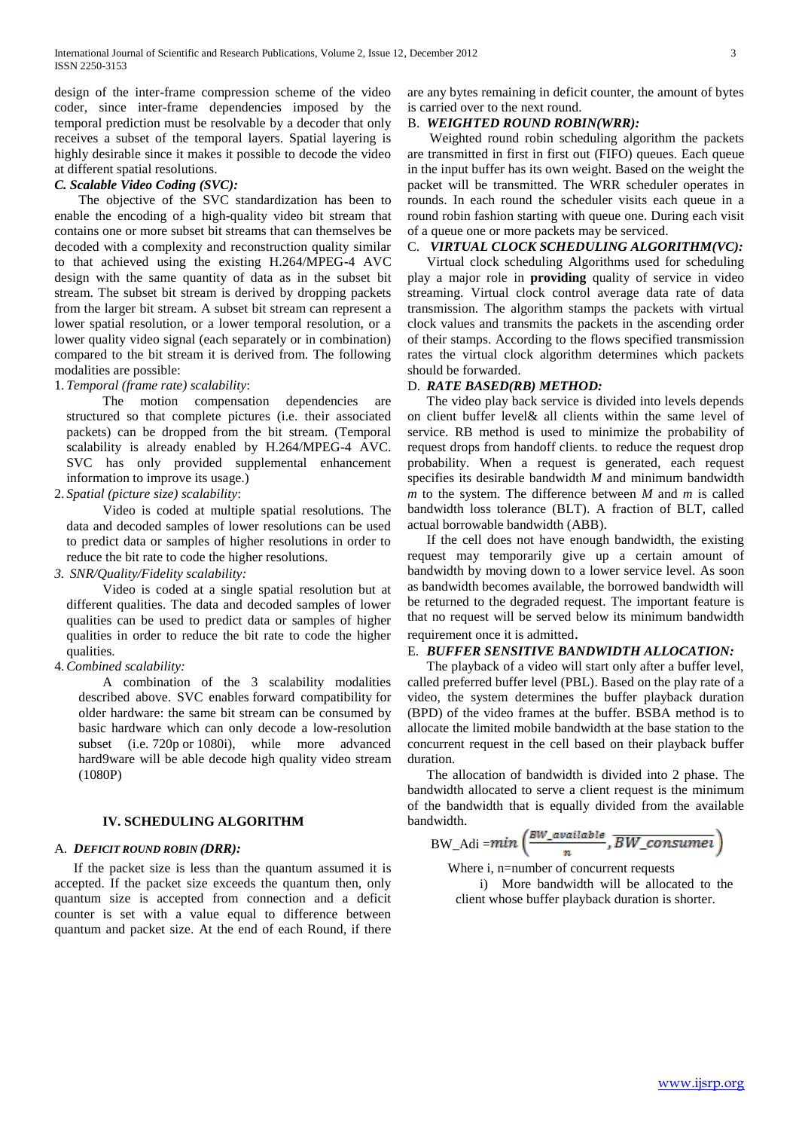design of the inter-frame compression scheme of the video coder, since inter-frame dependencies imposed by the temporal prediction must be resolvable by a decoder that only receives a subset of the temporal layers. Spatial layering is highly desirable since it makes it possible to decode the video at different spatial resolutions.

# *C. Scalable Video Coding (SVC):*

The objective of the SVC standardization has been to enable the encoding of a high-quality video bit stream that contains one or more subset bit streams that can themselves be decoded with a complexity and reconstruction quality similar to that achieved using the existing H.264/MPEG-4 AVC design with the same quantity of data as in the subset bit stream. The subset bit stream is derived by dropping packets from the larger bit stream. A subset bit stream can represent a lower spatial resolution, or a lower temporal resolution, or a lower quality video signal (each separately or in combination) compared to the bit stream it is derived from. The following modalities are possible:

# 1. *Temporal (frame rate) scalability*:

The motion compensation dependencies are structured so that complete pictures (i.e. their associated packets) can be dropped from the bit stream. (Temporal scalability is already enabled by H.264/MPEG-4 AVC. SVC has only provided supplemental enhancement information to improve its usage.)

2. *Spatial (picture size) scalability*:

Video is coded at multiple spatial resolutions. The data and decoded samples of lower resolutions can be used to predict data or samples of higher resolutions in order to reduce the bit rate to code the higher resolutions.

*3. SNR/Quality/Fidelity scalability:*

Video is coded at a single spatial resolution but at different qualities. The data and decoded samples of lower qualities can be used to predict data or samples of higher qualities in order to reduce the bit rate to code the higher qualities.

4.*Combined scalability:*

A combination of the 3 scalability modalities described above. SVC enables [forward compatibility](http://en.wikipedia.org/wiki/Forward_compatibility) for older hardware: the same bit stream can be consumed by basic hardware which can only decode a low-resolution subset (i.e. [720p](http://en.wikipedia.org/wiki/720p) or [1080i\)](http://en.wikipedia.org/wiki/1080i), while more advanced hard9ware will be able decode high quality video stream (1080P)

# **IV. SCHEDULING ALGORITHM**

#### A. *DEFICIT ROUND ROBIN (DRR):*

If the packet size is less than the quantum assumed it is accepted. If the packet size exceeds the quantum then, only quantum size is accepted from connection and a deficit counter is set with a value equal to difference between quantum and packet size. At the end of each Round, if there

are any bytes remaining in deficit counter, the amount of bytes is carried over to the next round.

#### B. *WEIGHTED ROUND ROBIN(WRR):*

Weighted round robin scheduling algorithm the packets are transmitted in first in first out (FIFO) queues. Each queue in the input buffer has its own weight. Based on the weight the packet will be transmitted. The WRR scheduler operates in rounds. In each round the scheduler visits each queue in a round robin fashion starting with queue one. During each visit of a queue one or more packets may be serviced.

### C. *VIRTUAL CLOCK SCHEDULING ALGORITHM(VC):*

Virtual clock scheduling Algorithms used for scheduling play a major role in **providing** quality of service in video streaming. Virtual clock control average data rate of data transmission. The algorithm stamps the packets with virtual clock values and transmits the packets in the ascending order of their stamps. According to the flows specified transmission rates the virtual clock algorithm determines which packets should be forwarded.

#### D. *RATE BASED(RB) METHOD:*

The video play back service is divided into levels depends on client buffer level& all clients within the same level of service. RB method is used to minimize the probability of request drops from handoff clients. to reduce the request drop probability. When a request is generated, each request specifies its desirable bandwidth *M* and minimum bandwidth *m* to the system. The difference between *M* and *m* is called bandwidth loss tolerance (BLT). A fraction of BLT, called actual borrowable bandwidth (ABB).

If the cell does not have enough bandwidth, the existing request may temporarily give up a certain amount of bandwidth by moving down to a lower service level. As soon as bandwidth becomes available, the borrowed bandwidth will be returned to the degraded request. The important feature is that no request will be served below its minimum bandwidth requirement once it is admitted.

# E. *BUFFER SENSITIVE BANDWIDTH ALLOCATION:*

The playback of a video will start only after a buffer level, called preferred buffer level (PBL). Based on the play rate of a video, the system determines the buffer playback duration (BPD) of the video frames at the buffer. BSBA method is to allocate the limited mobile bandwidth at the base station to the concurrent request in the cell based on their playback buffer duration.

The allocation of bandwidth is divided into 2 phase. The bandwidth allocated to serve a client request is the minimum of the bandwidth that is equally divided from the available bandwidth.

 $\text{BW\_Adi}\!=\!\!\textit{min}\left(\!\frac{\textit{BW\_available}}{n},\overline{\textit{BW\_consumel}}\right)$ 

Where i, n=number of concurrent requests

i) More bandwidth will be allocated to the client whose buffer playback duration is shorter.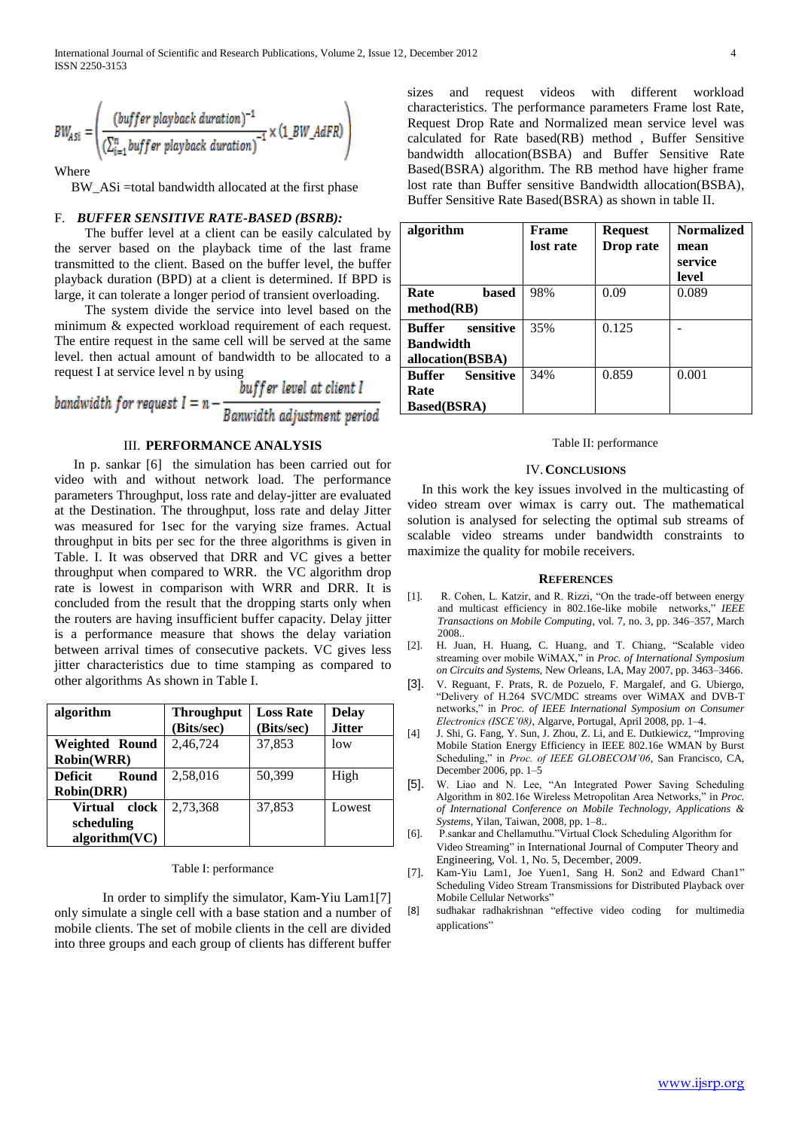$$
BW_{ASI} = \left(\frac{(buffer \; player \; backwardion)^{-1}}{(\sum_{i=1}^{n} buffer \; player \; davback \; duration)^{-1}} \times (1\_BW\_AdFR)\right)
$$

Where

BW\_ASi =total bandwidth allocated at the first phase

#### F. *BUFFER SENSITIVE RATE-BASED (BSRB):*

The buffer level at a client can be easily calculated by the server based on the playback time of the last frame transmitted to the client. Based on the buffer level, the buffer playback duration (BPD) at a client is determined. If BPD is large, it can tolerate a longer period of transient overloading.

The system divide the service into level based on the minimum & expected workload requirement of each request. The entire request in the same cell will be served at the same level. then actual amount of bandwidth to be allocated to a

request I at service level n by using<br>buffer level at client I<br>bandwidth for request  $I = n - \frac{buffer \; level \; at \; client \; I}{Banwidth \; adjustment \; period}$ 

# III. **PERFORMANCE ANALYSIS**

In p. sankar [6] the simulation has been carried out for video with and without network load. The performance parameters Throughput, loss rate and delay-jitter are evaluated at the Destination. The throughput, loss rate and delay Jitter was measured for 1sec for the varying size frames. Actual throughput in bits per sec for the three algorithms is given in Table. I. It was observed that DRR and VC gives a better throughput when compared to WRR. the VC algorithm drop rate is lowest in comparison with WRR and DRR. It is concluded from the result that the dropping starts only when the routers are having insufficient buffer capacity. Delay jitter is a performance measure that shows the delay variation between arrival times of consecutive packets. VC gives less jitter characteristics due to time stamping as compared to other algorithms As shown in Table I.

| algorithm                                       | <b>Throughput</b><br>(Bits/sec) | <b>Loss Rate</b><br>(Bits/sec) | <b>Delay</b><br><b>Jitter</b> |
|-------------------------------------------------|---------------------------------|--------------------------------|-------------------------------|
| <b>Weighted Round</b><br><b>Robin(WRR)</b>      | 2,46,724                        | 37,853                         | low                           |
| Deficit<br>Round<br><b>Robin(DRR)</b>           | 2,58,016                        | 50,399                         | High                          |
| Virtual<br>clock<br>scheduling<br>algorithm(VC) | 2,73,368                        | 37,853                         | Lowest                        |

#### Table I: performance

In order to simplify the simulator, Kam-Yiu Lam1[7] only simulate a single cell with a base station and a number of mobile clients. The set of mobile clients in the cell are divided into three groups and each group of clients has different buffer

sizes and request videos with different workload characteristics. The performance parameters Frame lost Rate, Request Drop Rate and Normalized mean service level was calculated for Rate based(RB) method , Buffer Sensitive bandwidth allocation(BSBA) and Buffer Sensitive Rate Based(BSRA) algorithm. The RB method have higher frame lost rate than Buffer sensitive Bandwidth allocation(BSBA), Buffer Sensitive Rate Based(BSRA) as shown in table II.

| algorithm                                                          | Frame<br>lost rate | <b>Request</b><br>Drop rate | <b>Normalized</b><br>mean<br>service<br>level |
|--------------------------------------------------------------------|--------------------|-----------------------------|-----------------------------------------------|
| Rate<br>based<br>method(RB)                                        | 98%                | 0.09                        | 0.089                                         |
| sensitive<br><b>Buffer</b><br><b>Bandwidth</b><br>allocation(BSBA) | 35%                | 0.125                       |                                               |
| <b>Sensitive</b><br><b>Buffer</b><br>Rate<br><b>Based(BSRA)</b>    | 34%                | 0.859                       | 0.001                                         |

#### Table II: performance

#### IV.**CONCLUSIONS**

In this work the key issues involved in the multicasting of video stream over wimax is carry out. The mathematical solution is analysed for selecting the optimal sub streams of scalable video streams under bandwidth constraints to maximize the quality for mobile receivers.

#### **REFERENCES**

- [1]. R. Cohen, L. Katzir, and R. Rizzi, "On the trade-off between energy and multicast efficiency in 802.16e-like mobile networks," *IEEE Transactions on Mobile Computing*, vol. 7, no. 3, pp. 346–357, March 2008..
- [2]. H. Juan, H. Huang, C. Huang, and T. Chiang, "Scalable video streaming over mobile WiMAX," in *Proc. of International Symposium on Circuits and Systems*, New Orleans, LA, May 2007, pp. 3463–3466.
- [3]. V. Reguant, F. Prats, R. de Pozuelo, F. Margalef, and G. Ubiergo, "Delivery of H.264 SVC/MDC streams over WiMAX and DVB-T networks," in *Proc. of IEEE International Symposium on Consumer Electronics (ISCE'08)*, Algarve, Portugal, April 2008, pp. 1–4.
- [4] J. Shi, G. Fang, Y. Sun, J. Zhou, Z. Li, and E. Dutkiewicz, "Improving Mobile Station Energy Efficiency in IEEE 802.16e WMAN by Burst Scheduling," in *Proc. of IEEE GLOBECOM'06*, San Francisco, CA, December 2006, pp. 1–5
- [5]. W. Liao and N. Lee, "An Integrated Power Saving Scheduling Algorithm in 802.16e Wireless Metropolitan Area Networks," in *Proc. of International Conference on Mobile Technology, Applications & Systems*, Yilan, Taiwan, 2008, pp. 1–8..
- [6]. P.sankar and Chellamuthu."Virtual Clock Scheduling Algorithm for Video Streaming" in International Journal of Computer Theory and Engineering, Vol. 1, No. 5, December, 2009.
- [7]. Kam-Yiu Lam1, Joe Yuen1, Sang H. Son2 and Edward Chan1" Scheduling Video Stream Transmissions for Distributed Playback over Mobile Cellular Networks"
- [8] sudhakar radhakrishnan "effective video coding for multimedia applications"